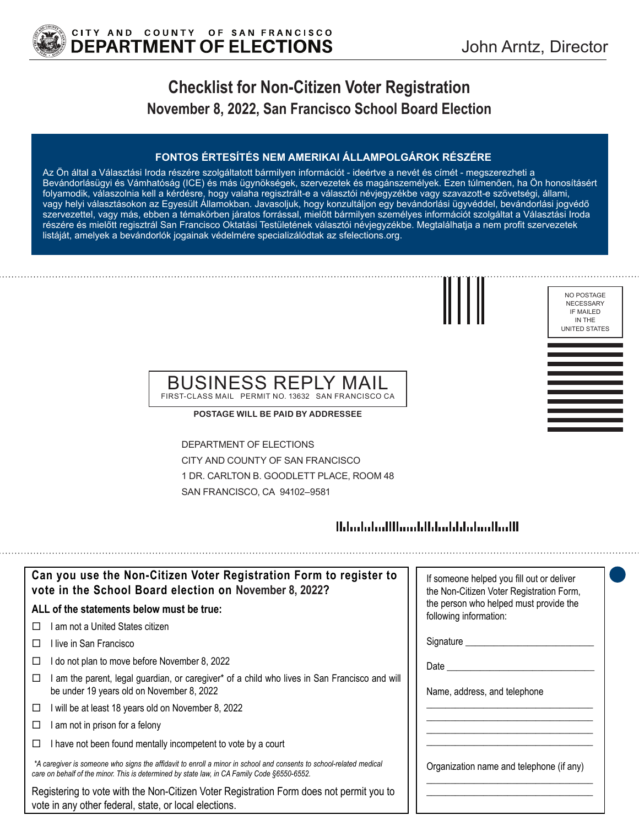

NO POSTAGE NECESSARY IF MAILED IN THE UNITED STATES

## **Checklist for Non-Citizen Voter Registration November 8, 2022, San Francisco School Board Election**

### **FONTOS ÉRTESÍTÉS NEM AMERIKAI ÁLLAMPOLGÁROK RÉSZÉRE**

Az Ön által a Választási Iroda részére szolgáltatott bármilyen információt - ideértve a nevét és címét - megszerezheti a Bevándorlásügyi és Vámhatóság (ICE) és más ügynökségek, szervezetek és magánszemélyek. Ezen túlmenően, ha Ön honosításért folyamodik, válaszolnia kell a kérdésre, hogy valaha regisztrált-e a választói névjegyzékbe vagy szavazott-e szövetségi, állami, vagy helyi választásokon az Egyesült Államokban. Javasoljuk, hogy konzultáljon egy bevándorlási ügyvéddel, bevándorlási jogvédő szervezettel, vagy más, ebben a témakörben járatos forrással, mielőtt bármilyen személyes információt szolgáltat a Választási Iroda részére és mielőtt regisztrál San Francisco Oktatási Testületének választói névjegyzékbe. Megtalálhatja a nem profit szervezetek listáját, amelyek a bevándorlók jogainak védelmére specializálódtak az sfelections.org.



## BUSINESS REPLY MAIL FIRST-CLASS MAIL PERMIT NO. 13632 SAN FRANCISCO CA

**POSTAGE WILL BE PAID BY ADDRESSEE**

DEPARTMENT OF ELECTIONS CITY AND COUNTY OF SAN FRANCISCO 1 DR. CARLTON B. GOODLETT PLACE, ROOM 48 SAN FRANCISCO, CA 94102–9581

## 

| Can you use the Non-Citizen Voter Registration Form to register to<br>vote in the School Board election on November 8, 2022?                                                                                      | If someone helped you fill out or deliver<br>the Non-Citizen Voter Registration Form, |
|-------------------------------------------------------------------------------------------------------------------------------------------------------------------------------------------------------------------|---------------------------------------------------------------------------------------|
| ALL of the statements below must be true:                                                                                                                                                                         | the person who helped must provide the<br>following information:                      |
| ∣ am not a United States citizen.                                                                                                                                                                                 |                                                                                       |
| l live in San Francisco                                                                                                                                                                                           |                                                                                       |
| I do not plan to move before November 8, 2022<br>⊔                                                                                                                                                                | Date <b>Date</b>                                                                      |
| am the parent, legal guardian, or caregiver* of a child who lives in San Francisco and will<br>be under 19 years old on November 8, 2022                                                                          | Name, address, and telephone                                                          |
| I will be at least 18 years old on November 8, 2022<br>□                                                                                                                                                          |                                                                                       |
| I am not in prison for a felony<br>□                                                                                                                                                                              |                                                                                       |
| I have not been found mentally incompetent to vote by a court                                                                                                                                                     |                                                                                       |
| *A caregiver is someone who signs the affidavit to enroll a minor in school and consents to school-related medical<br>care on behalf of the minor. This is determined by state law, in CA Family Code §6550-6552. | Organization name and telephone (if any)                                              |
| Registering to vote with the Non-Citizen Voter Registration Form does not permit you to<br>vote in any other federal, state, or local elections.                                                                  |                                                                                       |